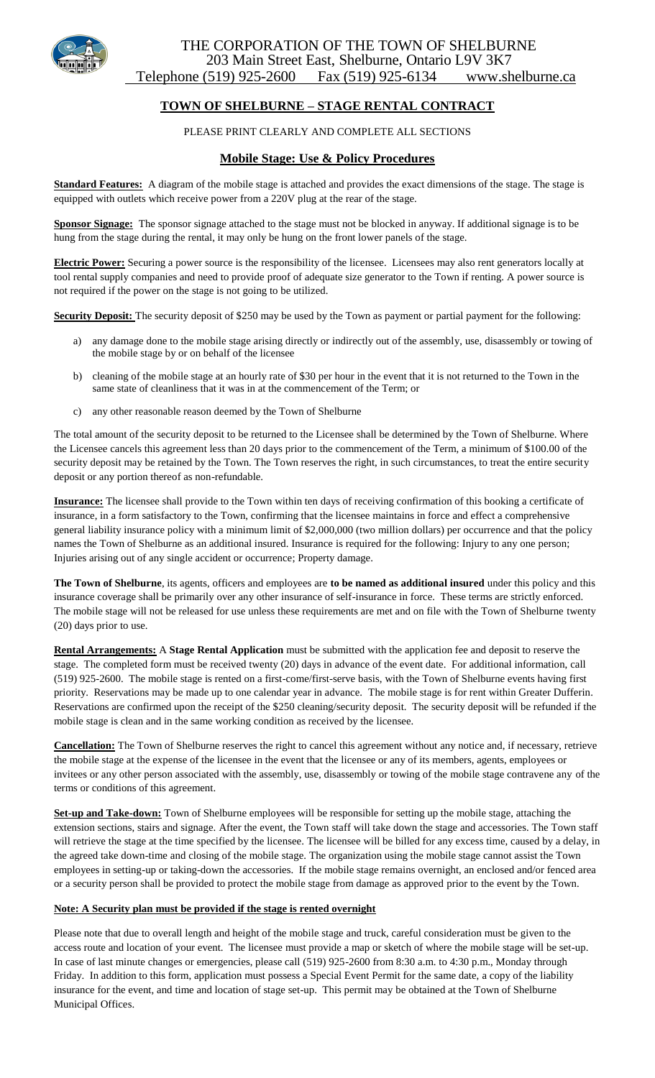

# THE CORPORATION OF THE TOWN OF SHELBURNE 203 Main Street East, Shelburne, Ontario L9V 3K7 Telephone (519) 925-2600 Fax (519) 925-6134 www.shelburne.ca

# **TOWN OF SHELBURNE – STAGE RENTAL CONTRACT**

## PLEASE PRINT CLEARLY AND COMPLETE ALL SECTIONS

## **Mobile Stage: Use & Policy Procedures**

**Standard Features:** A diagram of the mobile stage is attached and provides the exact dimensions of the stage. The stage is equipped with outlets which receive power from a 220V plug at the rear of the stage.

**Sponsor Signage:** The sponsor signage attached to the stage must not be blocked in anyway. If additional signage is to be hung from the stage during the rental, it may only be hung on the front lower panels of the stage.

**Electric Power:** Securing a power source is the responsibility of the licensee. Licensees may also rent generators locally at tool rental supply companies and need to provide proof of adequate size generator to the Town if renting. A power source is not required if the power on the stage is not going to be utilized.

**Security Deposit:** The security deposit of \$250 may be used by the Town as payment or partial payment for the following:

- any damage done to the mobile stage arising directly or indirectly out of the assembly, use, disassembly or towing of the mobile stage by or on behalf of the licensee
- b) cleaning of the mobile stage at an hourly rate of \$30 per hour in the event that it is not returned to the Town in the same state of cleanliness that it was in at the commencement of the Term; or
- c) any other reasonable reason deemed by the Town of Shelburne

The total amount of the security deposit to be returned to the Licensee shall be determined by the Town of Shelburne. Where the Licensee cancels this agreement less than 20 days prior to the commencement of the Term, a minimum of \$100.00 of the security deposit may be retained by the Town. The Town reserves the right, in such circumstances, to treat the entire security deposit or any portion thereof as non-refundable.

**Insurance:** The licensee shall provide to the Town within ten days of receiving confirmation of this booking a certificate of insurance, in a form satisfactory to the Town, confirming that the licensee maintains in force and effect a comprehensive general liability insurance policy with a minimum limit of \$2,000,000 (two million dollars) per occurrence and that the policy names the Town of Shelburne as an additional insured. Insurance is required for the following: Injury to any one person; Injuries arising out of any single accident or occurrence; Property damage.

**The Town of Shelburne**, its agents, officers and employees are **to be named as additional insured** under this policy and this insurance coverage shall be primarily over any other insurance of self-insurance in force. These terms are strictly enforced. The mobile stage will not be released for use unless these requirements are met and on file with the Town of Shelburne twenty (20) days prior to use.

**Rental Arrangements:** A **Stage Rental Application** must be submitted with the application fee and deposit to reserve the stage. The completed form must be received twenty (20) days in advance of the event date. For additional information, call (519) 925-2600. The mobile stage is rented on a first-come/first-serve basis, with the Town of Shelburne events having first priority. Reservations may be made up to one calendar year in advance. The mobile stage is for rent within Greater Dufferin. Reservations are confirmed upon the receipt of the \$250 cleaning/security deposit. The security deposit will be refunded if the mobile stage is clean and in the same working condition as received by the licensee.

**Cancellation:** The Town of Shelburne reserves the right to cancel this agreement without any notice and, if necessary, retrieve the mobile stage at the expense of the licensee in the event that the licensee or any of its members, agents, employees or invitees or any other person associated with the assembly, use, disassembly or towing of the mobile stage contravene any of the terms or conditions of this agreement.

**Set-up and Take-down:** Town of Shelburne employees will be responsible for setting up the mobile stage, attaching the extension sections, stairs and signage. After the event, the Town staff will take down the stage and accessories. The Town staff will retrieve the stage at the time specified by the licensee. The licensee will be billed for any excess time, caused by a delay, in the agreed take down-time and closing of the mobile stage. The organization using the mobile stage cannot assist the Town employees in setting-up or taking-down the accessories. If the mobile stage remains overnight, an enclosed and/or fenced area or a security person shall be provided to protect the mobile stage from damage as approved prior to the event by the Town.

#### **Note: A Security plan must be provided if the stage is rented overnight**

Please note that due to overall length and height of the mobile stage and truck, careful consideration must be given to the access route and location of your event. The licensee must provide a map or sketch of where the mobile stage will be set-up. In case of last minute changes or emergencies, please call (519) 925-2600 from 8:30 a.m. to 4:30 p.m., Monday through Friday. In addition to this form, application must possess a Special Event Permit for the same date, a copy of the liability insurance for the event, and time and location of stage set-up. This permit may be obtained at the Town of Shelburne Municipal Offices.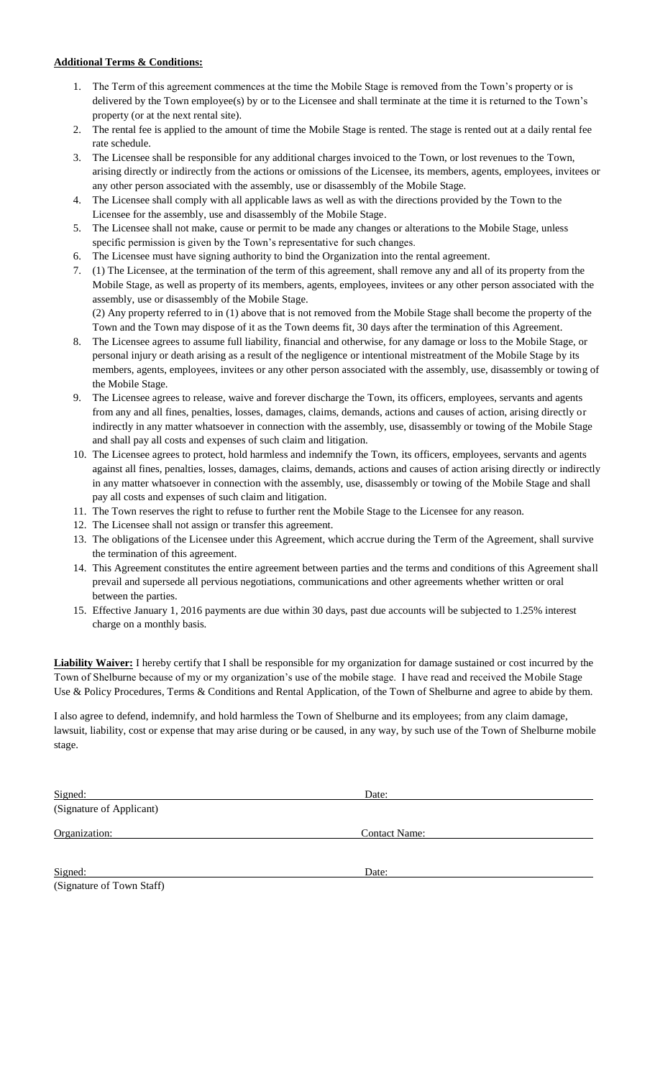### **Additional Terms & Conditions:**

- 1. The Term of this agreement commences at the time the Mobile Stage is removed from the Town's property or is delivered by the Town employee(s) by or to the Licensee and shall terminate at the time it is returned to the Town's property (or at the next rental site).
- 2. The rental fee is applied to the amount of time the Mobile Stage is rented. The stage is rented out at a daily rental fee rate schedule.
- 3. The Licensee shall be responsible for any additional charges invoiced to the Town, or lost revenues to the Town, arising directly or indirectly from the actions or omissions of the Licensee, its members, agents, employees, invitees or any other person associated with the assembly, use or disassembly of the Mobile Stage.
- 4. The Licensee shall comply with all applicable laws as well as with the directions provided by the Town to the Licensee for the assembly, use and disassembly of the Mobile Stage.
- 5. The Licensee shall not make, cause or permit to be made any changes or alterations to the Mobile Stage, unless specific permission is given by the Town's representative for such changes.
- 6. The Licensee must have signing authority to bind the Organization into the rental agreement.
- 7. (1) The Licensee, at the termination of the term of this agreement, shall remove any and all of its property from the Mobile Stage, as well as property of its members, agents, employees, invitees or any other person associated with the assembly, use or disassembly of the Mobile Stage. (2) Any property referred to in (1) above that is not removed from the Mobile Stage shall become the property of the Town and the Town may dispose of it as the Town deems fit, 30 days after the termination of this Agreement.
- 8. The Licensee agrees to assume full liability, financial and otherwise, for any damage or loss to the Mobile Stage, or personal injury or death arising as a result of the negligence or intentional mistreatment of the Mobile Stage by its members, agents, employees, invitees or any other person associated with the assembly, use, disassembly or towing of the Mobile Stage.
- 9. The Licensee agrees to release, waive and forever discharge the Town, its officers, employees, servants and agents from any and all fines, penalties, losses, damages, claims, demands, actions and causes of action, arising directly or indirectly in any matter whatsoever in connection with the assembly, use, disassembly or towing of the Mobile Stage and shall pay all costs and expenses of such claim and litigation.
- 10. The Licensee agrees to protect, hold harmless and indemnify the Town, its officers, employees, servants and agents against all fines, penalties, losses, damages, claims, demands, actions and causes of action arising directly or indirectly in any matter whatsoever in connection with the assembly, use, disassembly or towing of the Mobile Stage and shall pay all costs and expenses of such claim and litigation.
- 11. The Town reserves the right to refuse to further rent the Mobile Stage to the Licensee for any reason.
- 12. The Licensee shall not assign or transfer this agreement.
- 13. The obligations of the Licensee under this Agreement, which accrue during the Term of the Agreement, shall survive the termination of this agreement.
- 14. This Agreement constitutes the entire agreement between parties and the terms and conditions of this Agreement shall prevail and supersede all pervious negotiations, communications and other agreements whether written or oral between the parties.
- 15. Effective January 1, 2016 payments are due within 30 days, past due accounts will be subjected to 1.25% interest charge on a monthly basis.

**Liability Waiver:** I hereby certify that I shall be responsible for my organization for damage sustained or cost incurred by the Town of Shelburne because of my or my organization's use of the mobile stage. I have read and received the Mobile Stage Use & Policy Procedures, Terms & Conditions and Rental Application, of the Town of Shelburne and agree to abide by them.

I also agree to defend, indemnify, and hold harmless the Town of Shelburne and its employees; from any claim damage, lawsuit, liability, cost or expense that may arise during or be caused, in any way, by such use of the Town of Shelburne mobile stage.

| Signed:                   | Date:                |  |
|---------------------------|----------------------|--|
| (Signature of Applicant)  |                      |  |
| Organization:             | <b>Contact Name:</b> |  |
| Signed:                   | Date:                |  |
| (Signature of Town Staff) |                      |  |